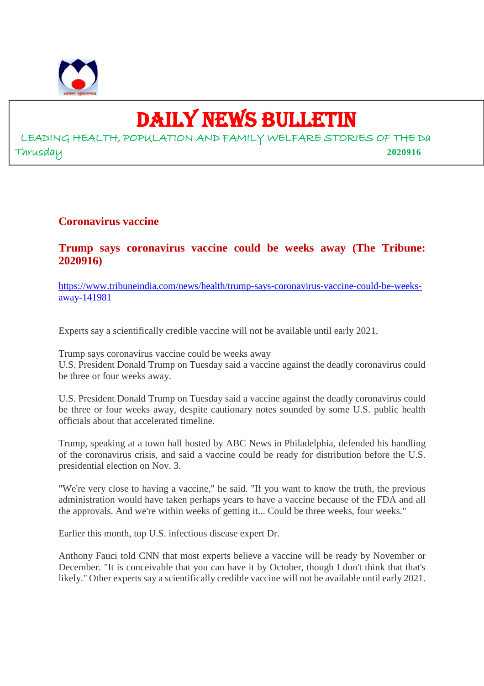

## DAILY NEWS BULLETIN

LEADING HEALTH, POPULATION AND FAMILY WELFARE STORIES OF THE Da Thrusday **2020916**

### **Coronavirus vaccine**

### **Trump says coronavirus vaccine could be weeks away (The Tribune: 2020916)**

https://www.tribuneindia.com/news/health/trump-says-coronavirus-vaccine-could-be-weeksaway-141981

Experts say a scientifically credible vaccine will not be available until early 2021.

Trump says coronavirus vaccine could be weeks away

U.S. President Donald Trump on Tuesday said a vaccine against the deadly coronavirus could be three or four weeks away.

U.S. President Donald Trump on Tuesday said a vaccine against the deadly coronavirus could be three or four weeks away, despite cautionary notes sounded by some U.S. public health officials about that accelerated timeline.

Trump, speaking at a town hall hosted by ABC News in Philadelphia, defended his handling of the coronavirus crisis, and said a vaccine could be ready for distribution before the U.S. presidential election on Nov. 3.

"We're very close to having a vaccine," he said. "If you want to know the truth, the previous administration would have taken perhaps years to have a vaccine because of the FDA and all the approvals. And we're within weeks of getting it... Could be three weeks, four weeks."

Earlier this month, top U.S. infectious disease expert Dr.

Anthony Fauci told CNN that most experts believe a vaccine will be ready by November or December. "It is conceivable that you can have it by October, though I don't think that that's likely." Other experts say a scientifically credible vaccine will not be available until early 2021.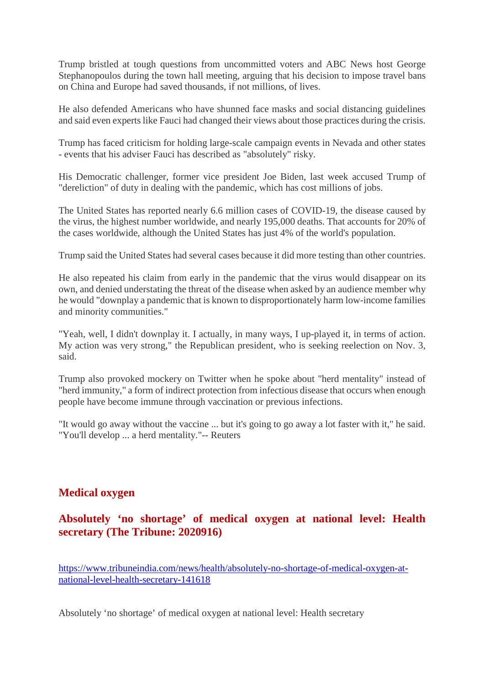Trump bristled at tough questions from uncommitted voters and ABC News host George Stephanopoulos during the town hall meeting, arguing that his decision to impose travel bans on China and Europe had saved thousands, if not millions, of lives.

He also defended Americans who have shunned face masks and social distancing guidelines and said even experts like Fauci had changed their views about those practices during the crisis.

Trump has faced criticism for holding large-scale campaign events in Nevada and other states - events that his adviser Fauci has described as "absolutely" risky.

His Democratic challenger, former vice president Joe Biden, last week accused Trump of "dereliction" of duty in dealing with the pandemic, which has cost millions of jobs.

The United States has reported nearly 6.6 million cases of COVID-19, the disease caused by the virus, the highest number worldwide, and nearly 195,000 deaths. That accounts for 20% of the cases worldwide, although the United States has just 4% of the world's population.

Trump said the United States had several cases because it did more testing than other countries.

He also repeated his claim from early in the pandemic that the virus would disappear on its own, and denied understating the threat of the disease when asked by an audience member why he would "downplay a pandemic that is known to disproportionately harm low-income families and minority communities."

"Yeah, well, I didn't downplay it. I actually, in many ways, I up-played it, in terms of action. My action was very strong," the Republican president, who is seeking reelection on Nov. 3, said.

Trump also provoked mockery on Twitter when he spoke about "herd mentality" instead of "herd immunity," a form of indirect protection from infectious disease that occurs when enough people have become immune through vaccination or previous infections.

"It would go away without the vaccine ... but it's going to go away a lot faster with it," he said. "You'll develop ... a herd mentality."-- Reuters

### **Medical oxygen**

**Absolutely 'no shortage' of medical oxygen at national level: Health secretary (The Tribune: 2020916)**

https://www.tribuneindia.com/news/health/absolutely-no-shortage-of-medical-oxygen-atnational-level-health-secretary-141618

Absolutely 'no shortage' of medical oxygen at national level: Health secretary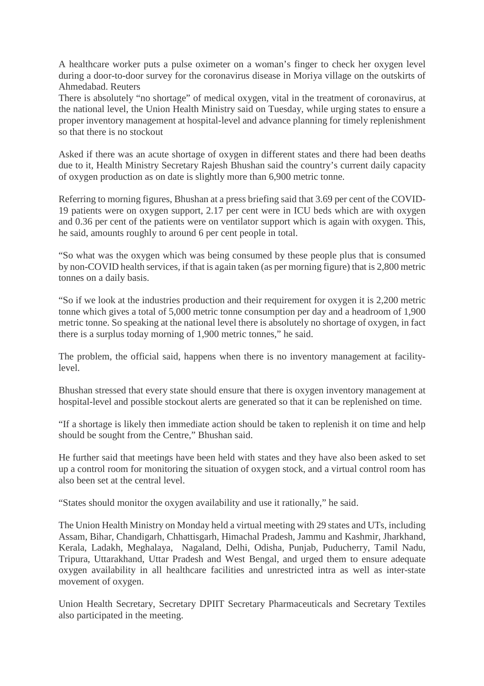A healthcare worker puts a pulse oximeter on a woman's finger to check her oxygen level during a door-to-door survey for the coronavirus disease in Moriya village on the outskirts of Ahmedabad. Reuters

There is absolutely "no shortage" of medical oxygen, vital in the treatment of coronavirus, at the national level, the Union Health Ministry said on Tuesday, while urging states to ensure a proper inventory management at hospital-level and advance planning for timely replenishment so that there is no stockout

Asked if there was an acute shortage of oxygen in different states and there had been deaths due to it, Health Ministry Secretary Rajesh Bhushan said the country's current daily capacity of oxygen production as on date is slightly more than 6,900 metric tonne.

Referring to morning figures, Bhushan at a press briefing said that 3.69 per cent of the COVID-19 patients were on oxygen support, 2.17 per cent were in ICU beds which are with oxygen and 0.36 per cent of the patients were on ventilator support which is again with oxygen. This, he said, amounts roughly to around 6 per cent people in total.

"So what was the oxygen which was being consumed by these people plus that is consumed by non-COVID health services, if that is again taken (as per morning figure) that is 2,800 metric tonnes on a daily basis.

"So if we look at the industries production and their requirement for oxygen it is 2,200 metric tonne which gives a total of 5,000 metric tonne consumption per day and a headroom of 1,900 metric tonne. So speaking at the national level there is absolutely no shortage of oxygen, in fact there is a surplus today morning of 1,900 metric tonnes," he said.

The problem, the official said, happens when there is no inventory management at facilitylevel.

Bhushan stressed that every state should ensure that there is oxygen inventory management at hospital-level and possible stockout alerts are generated so that it can be replenished on time.

"If a shortage is likely then immediate action should be taken to replenish it on time and help should be sought from the Centre," Bhushan said.

He further said that meetings have been held with states and they have also been asked to set up a control room for monitoring the situation of oxygen stock, and a virtual control room has also been set at the central level.

"States should monitor the oxygen availability and use it rationally," he said.

The Union Health Ministry on Monday held a virtual meeting with 29 states and UTs, including Assam, Bihar, Chandigarh, Chhattisgarh, Himachal Pradesh, Jammu and Kashmir, Jharkhand, Kerala, Ladakh, Meghalaya, Nagaland, Delhi, Odisha, Punjab, Puducherry, Tamil Nadu, Tripura, Uttarakhand, Uttar Pradesh and West Bengal, and urged them to ensure adequate oxygen availability in all healthcare facilities and unrestricted intra as well as inter-state movement of oxygen.

Union Health Secretary, Secretary DPIIT Secretary Pharmaceuticals and Secretary Textiles also participated in the meeting.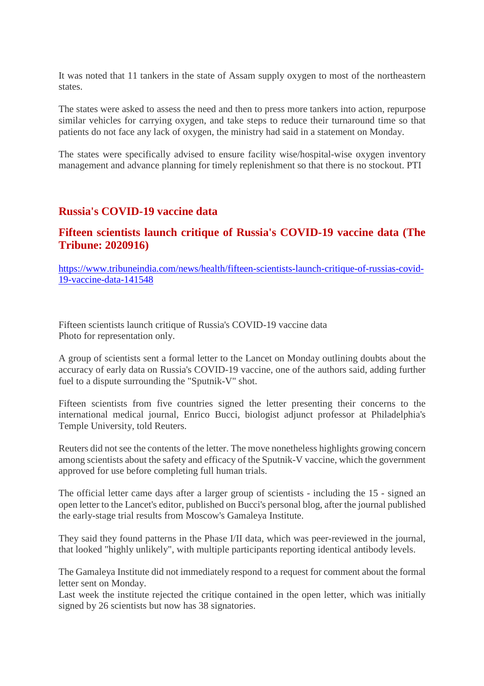It was noted that 11 tankers in the state of Assam supply oxygen to most of the northeastern states.

The states were asked to assess the need and then to press more tankers into action, repurpose similar vehicles for carrying oxygen, and take steps to reduce their turnaround time so that patients do not face any lack of oxygen, the ministry had said in a statement on Monday.

The states were specifically advised to ensure facility wise/hospital-wise oxygen inventory management and advance planning for timely replenishment so that there is no stockout. PTI

### **Russia's COVID-19 vaccine data**

### **Fifteen scientists launch critique of Russia's COVID-19 vaccine data (The Tribune: 2020916)**

https://www.tribuneindia.com/news/health/fifteen-scientists-launch-critique-of-russias-covid-19-vaccine-data-141548

Fifteen scientists launch critique of Russia's COVID-19 vaccine data Photo for representation only.

A group of scientists sent a formal letter to the Lancet on Monday outlining doubts about the accuracy of early data on Russia's COVID-19 vaccine, one of the authors said, adding further fuel to a dispute surrounding the "Sputnik-V" shot.

Fifteen scientists from five countries signed the letter presenting their concerns to the international medical journal, Enrico Bucci, biologist adjunct professor at Philadelphia's Temple University, told Reuters.

Reuters did not see the contents of the letter. The move nonetheless highlights growing concern among scientists about the safety and efficacy of the Sputnik-V vaccine, which the government approved for use before completing full human trials.

The official letter came days after a larger group of scientists - including the 15 - signed an open letter to the Lancet's editor, published on Bucci's personal blog, after the journal published the early-stage trial results from Moscow's Gamaleya Institute.

They said they found patterns in the Phase I/II data, which was peer-reviewed in the journal, that looked "highly unlikely", with multiple participants reporting identical antibody levels.

The Gamaleya Institute did not immediately respond to a request for comment about the formal letter sent on Monday.

Last week the institute rejected the critique contained in the open letter, which was initially signed by 26 scientists but now has 38 signatories.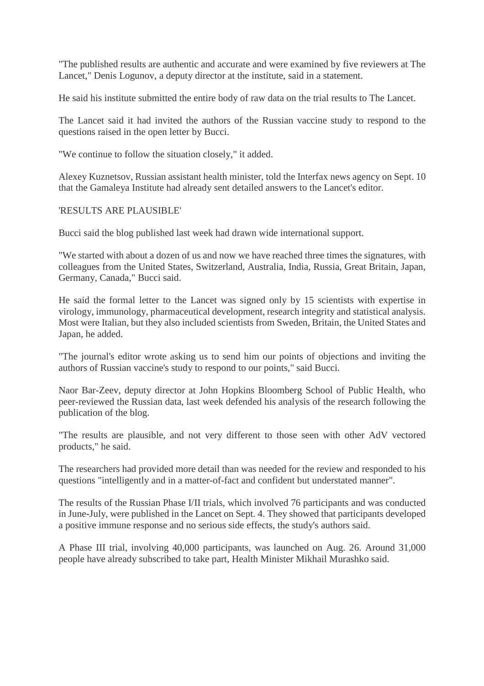"The published results are authentic and accurate and were examined by five reviewers at The Lancet," Denis Logunov, a deputy director at the institute, said in a statement.

He said his institute submitted the entire body of raw data on the trial results to The Lancet.

The Lancet said it had invited the authors of the Russian vaccine study to respond to the questions raised in the open letter by Bucci.

"We continue to follow the situation closely," it added.

Alexey Kuznetsov, Russian assistant health minister, told the Interfax news agency on Sept. 10 that the Gamaleya Institute had already sent detailed answers to the Lancet's editor.

#### 'RESULTS ARE PLAUSIBLE'

Bucci said the blog published last week had drawn wide international support.

"We started with about a dozen of us and now we have reached three times the signatures, with colleagues from the United States, Switzerland, Australia, India, Russia, Great Britain, Japan, Germany, Canada," Bucci said.

He said the formal letter to the Lancet was signed only by 15 scientists with expertise in virology, immunology, pharmaceutical development, research integrity and statistical analysis. Most were Italian, but they also included scientists from Sweden, Britain, the United States and Japan, he added.

"The journal's editor wrote asking us to send him our points of objections and inviting the authors of Russian vaccine's study to respond to our points," said Bucci.

Naor Bar-Zeev, deputy director at John Hopkins Bloomberg School of Public Health, who peer-reviewed the Russian data, last week defended his analysis of the research following the publication of the blog.

"The results are plausible, and not very different to those seen with other AdV vectored products," he said.

The researchers had provided more detail than was needed for the review and responded to his questions "intelligently and in a matter-of-fact and confident but understated manner".

The results of the Russian Phase I/II trials, which involved 76 participants and was conducted in June-July, were published in the Lancet on Sept. 4. They showed that participants developed a positive immune response and no serious side effects, the study's authors said.

A Phase III trial, involving 40,000 participants, was launched on Aug. 26. Around 31,000 people have already subscribed to take part, Health Minister Mikhail Murashko said.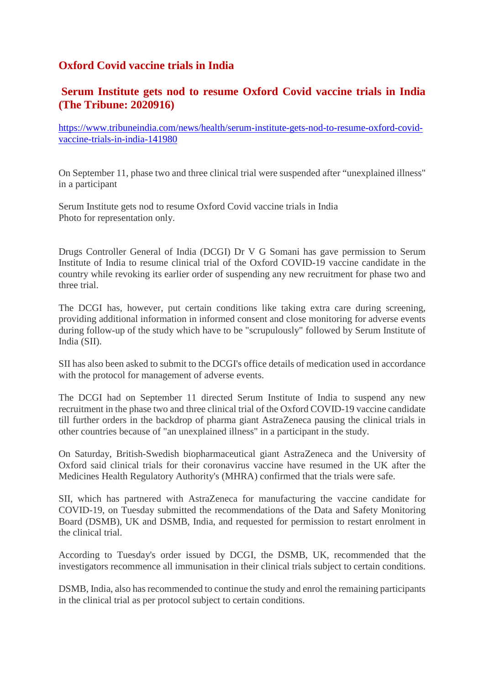### **Oxford Covid vaccine trials in India**

### **Serum Institute gets nod to resume Oxford Covid vaccine trials in India (The Tribune: 2020916)**

https://www.tribuneindia.com/news/health/serum-institute-gets-nod-to-resume-oxford-covidvaccine-trials-in-india-141980

On September 11, phase two and three clinical trial were suspended after "unexplained illness" in a participant

Serum Institute gets nod to resume Oxford Covid vaccine trials in India Photo for representation only.

Drugs Controller General of India (DCGI) Dr V G Somani has gave permission to Serum Institute of India to resume clinical trial of the Oxford COVID-19 vaccine candidate in the country while revoking its earlier order of suspending any new recruitment for phase two and three trial.

The DCGI has, however, put certain conditions like taking extra care during screening, providing additional information in informed consent and close monitoring for adverse events during follow-up of the study which have to be "scrupulously" followed by Serum Institute of India (SII).

SII has also been asked to submit to the DCGI's office details of medication used in accordance with the protocol for management of adverse events.

The DCGI had on September 11 directed Serum Institute of India to suspend any new recruitment in the phase two and three clinical trial of the Oxford COVID-19 vaccine candidate till further orders in the backdrop of pharma giant AstraZeneca pausing the clinical trials in other countries because of "an unexplained illness" in a participant in the study.

On Saturday, British-Swedish biopharmaceutical giant AstraZeneca and the University of Oxford said clinical trials for their coronavirus vaccine have resumed in the UK after the Medicines Health Regulatory Authority's (MHRA) confirmed that the trials were safe.

SII, which has partnered with AstraZeneca for manufacturing the vaccine candidate for COVID-19, on Tuesday submitted the recommendations of the Data and Safety Monitoring Board (DSMB), UK and DSMB, India, and requested for permission to restart enrolment in the clinical trial.

According to Tuesday's order issued by DCGI, the DSMB, UK, recommended that the investigators recommence all immunisation in their clinical trials subject to certain conditions.

DSMB, India, also has recommended to continue the study and enrol the remaining participants in the clinical trial as per protocol subject to certain conditions.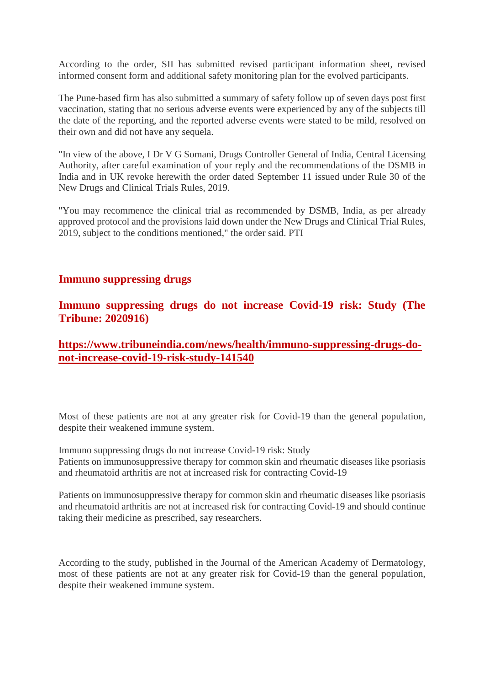According to the order, SII has submitted revised participant information sheet, revised informed consent form and additional safety monitoring plan for the evolved participants.

The Pune-based firm has also submitted a summary of safety follow up of seven days post first vaccination, stating that no serious adverse events were experienced by any of the subjects till the date of the reporting, and the reported adverse events were stated to be mild, resolved on their own and did not have any sequela.

"In view of the above, I Dr V G Somani, Drugs Controller General of India, Central Licensing Authority, after careful examination of your reply and the recommendations of the DSMB in India and in UK revoke herewith the order dated September 11 issued under Rule 30 of the New Drugs and Clinical Trials Rules, 2019.

"You may recommence the clinical trial as recommended by DSMB, India, as per already approved protocol and the provisions laid down under the New Drugs and Clinical Trial Rules, 2019, subject to the conditions mentioned," the order said. PTI

### **Immuno suppressing drugs**

**Immuno suppressing drugs do not increase Covid-19 risk: Study (The Tribune: 2020916)**

**https://www.tribuneindia.com/news/health/immuno-suppressing-drugs-donot-increase-covid-19-risk-study-141540**

Most of these patients are not at any greater risk for Covid-19 than the general population, despite their weakened immune system.

Immuno suppressing drugs do not increase Covid-19 risk: Study Patients on immunosuppressive therapy for common skin and rheumatic diseases like psoriasis and rheumatoid arthritis are not at increased risk for contracting Covid-19

Patients on immunosuppressive therapy for common skin and rheumatic diseases like psoriasis and rheumatoid arthritis are not at increased risk for contracting Covid-19 and should continue taking their medicine as prescribed, say researchers.

According to the study, published in the Journal of the American Academy of Dermatology, most of these patients are not at any greater risk for Covid-19 than the general population, despite their weakened immune system.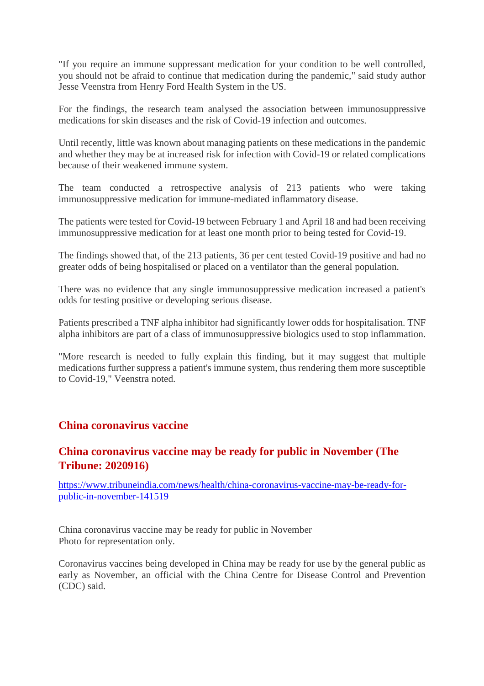"If you require an immune suppressant medication for your condition to be well controlled, you should not be afraid to continue that medication during the pandemic," said study author Jesse Veenstra from Henry Ford Health System in the US.

For the findings, the research team analysed the association between immunosuppressive medications for skin diseases and the risk of Covid-19 infection and outcomes.

Until recently, little was known about managing patients on these medications in the pandemic and whether they may be at increased risk for infection with Covid-19 or related complications because of their weakened immune system.

The team conducted a retrospective analysis of 213 patients who were taking immunosuppressive medication for immune-mediated inflammatory disease.

The patients were tested for Covid-19 between February 1 and April 18 and had been receiving immunosuppressive medication for at least one month prior to being tested for Covid-19.

The findings showed that, of the 213 patients, 36 per cent tested Covid-19 positive and had no greater odds of being hospitalised or placed on a ventilator than the general population.

There was no evidence that any single immunosuppressive medication increased a patient's odds for testing positive or developing serious disease.

Patients prescribed a TNF alpha inhibitor had significantly lower odds for hospitalisation. TNF alpha inhibitors are part of a class of immunosuppressive biologics used to stop inflammation.

"More research is needed to fully explain this finding, but it may suggest that multiple medications further suppress a patient's immune system, thus rendering them more susceptible to Covid-19," Veenstra noted.

### **China coronavirus vaccine**

### **China coronavirus vaccine may be ready for public in November (The Tribune: 2020916)**

https://www.tribuneindia.com/news/health/china-coronavirus-vaccine-may-be-ready-forpublic-in-november-141519

China coronavirus vaccine may be ready for public in November Photo for representation only.

Coronavirus vaccines being developed in China may be ready for use by the general public as early as November, an official with the China Centre for Disease Control and Prevention (CDC) said.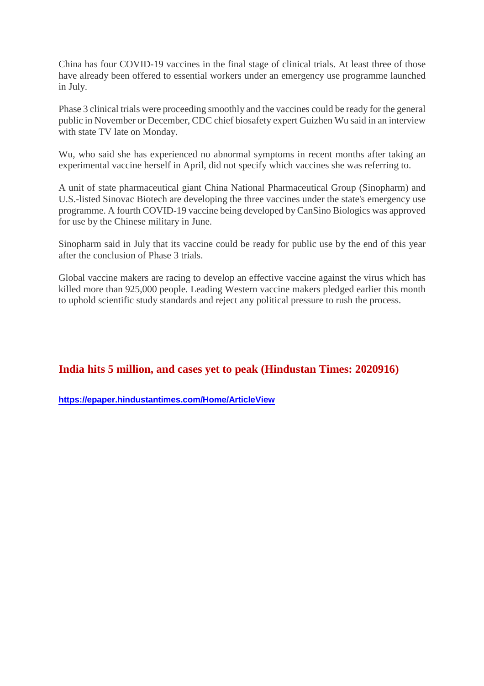China has four COVID-19 vaccines in the final stage of clinical trials. At least three of those have already been offered to essential workers under an emergency use programme launched in July.

Phase 3 clinical trials were proceeding smoothly and the vaccines could be ready for the general public in November or December, CDC chief biosafety expert Guizhen Wu said in an interview with state TV late on Monday.

Wu, who said she has experienced no abnormal symptoms in recent months after taking an experimental vaccine herself in April, did not specify which vaccines she was referring to.

A unit of state pharmaceutical giant China National Pharmaceutical Group (Sinopharm) and U.S.-listed Sinovac Biotech are developing the three vaccines under the state's emergency use programme. A fourth COVID-19 vaccine being developed by CanSino Biologics was approved for use by the Chinese military in June.

Sinopharm said in July that its vaccine could be ready for public use by the end of this year after the conclusion of Phase 3 trials.

Global vaccine makers are racing to develop an effective vaccine against the virus which has killed more than 925,000 people. Leading Western vaccine makers pledged earlier this month to uphold scientific study standards and reject any political pressure to rush the process.

### **India hits 5 million, and cases yet to peak (Hindustan Times: 2020916)**

**https://epaper.hindustantimes.com/Home/ArticleView**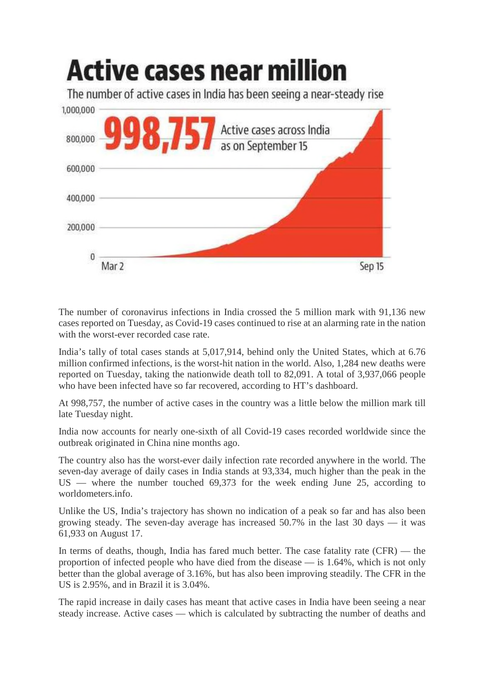

The number of coronavirus infections in India crossed the 5 million mark with 91,136 new cases reported on Tuesday, as Covid-19 cases continued to rise at an alarming rate in the nation with the worst-ever recorded case rate.

India's tally of total cases stands at 5,017,914, behind only the United States, which at 6.76 million confirmed infections, is the worst-hit nation in the world. Also, 1,284 new deaths were reported on Tuesday, taking the nationwide death toll to 82,091. A total of 3,937,066 people who have been infected have so far recovered, according to HT's dashboard.

At 998,757, the number of active cases in the country was a little below the million mark till late Tuesday night.

India now accounts for nearly one-sixth of all Covid-19 cases recorded worldwide since the outbreak originated in China nine months ago.

The country also has the worst-ever daily infection rate recorded anywhere in the world. The seven-day average of daily cases in India stands at 93,334, much higher than the peak in the US — where the number touched 69,373 for the week ending June 25, according to worldometers.info.

Unlike the US, India's trajectory has shown no indication of a peak so far and has also been growing steady. The seven-day average has increased 50.7% in the last 30 days — it was 61,933 on August 17.

In terms of deaths, though, India has fared much better. The case fatality rate (CFR) — the proportion of infected people who have died from the disease — is 1.64%, which is not only better than the global average of 3.16%, but has also been improving steadily. The CFR in the US is 2.95%, and in Brazil it is 3.04%.

The rapid increase in daily cases has meant that active cases in India have been seeing a near steady increase. Active cases — which is calculated by subtracting the number of deaths and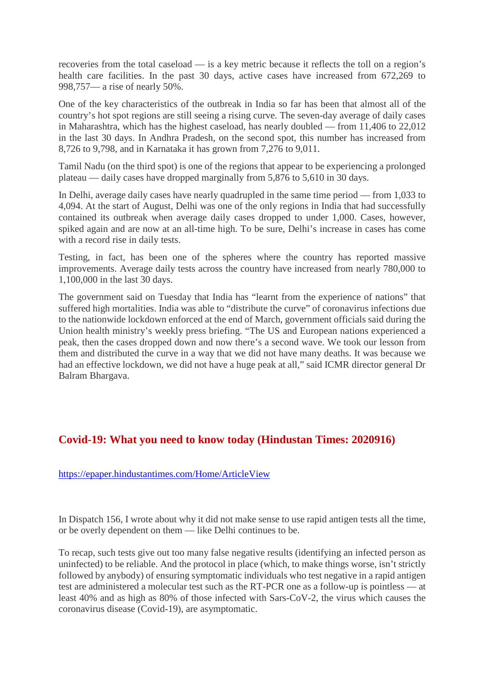recoveries from the total caseload — is a key metric because it reflects the toll on a region's health care facilities. In the past 30 days, active cases have increased from 672,269 to 998,757— a rise of nearly 50%.

One of the key characteristics of the outbreak in India so far has been that almost all of the country's hot spot regions are still seeing a rising curve. The seven-day average of daily cases in Maharashtra, which has the highest caseload, has nearly doubled — from 11,406 to 22,012 in the last 30 days. In Andhra Pradesh, on the second spot, this number has increased from 8,726 to 9,798, and in Karnataka it has grown from 7,276 to 9,011.

Tamil Nadu (on the third spot) is one of the regions that appear to be experiencing a prolonged plateau — daily cases have dropped marginally from 5,876 to 5,610 in 30 days.

In Delhi, average daily cases have nearly quadrupled in the same time period — from 1,033 to 4,094. At the start of August, Delhi was one of the only regions in India that had successfully contained its outbreak when average daily cases dropped to under 1,000. Cases, however, spiked again and are now at an all-time high. To be sure, Delhi's increase in cases has come with a record rise in daily tests.

Testing, in fact, has been one of the spheres where the country has reported massive improvements. Average daily tests across the country have increased from nearly 780,000 to 1,100,000 in the last 30 days.

The government said on Tuesday that India has "learnt from the experience of nations" that suffered high mortalities. India was able to "distribute the curve" of coronavirus infections due to the nationwide lockdown enforced at the end of March, government officials said during the Union health ministry's weekly press briefing. "The US and European nations experienced a peak, then the cases dropped down and now there's a second wave. We took our lesson from them and distributed the curve in a way that we did not have many deaths. It was because we had an effective lockdown, we did not have a huge peak at all," said ICMR director general Dr Balram Bhargava.

### **Covid-19: What you need to know today (Hindustan Times: 2020916)**

https://epaper.hindustantimes.com/Home/ArticleView

In Dispatch 156, I wrote about why it did not make sense to use rapid antigen tests all the time, or be overly dependent on them — like Delhi continues to be.

To recap, such tests give out too many false negative results (identifying an infected person as uninfected) to be reliable. And the protocol in place (which, to make things worse, isn't strictly followed by anybody) of ensuring symptomatic individuals who test negative in a rapid antigen test are administered a molecular test such as the RT-PCR one as a follow-up is pointless — at least 40% and as high as 80% of those infected with Sars-CoV-2, the virus which causes the coronavirus disease (Covid-19), are asymptomatic.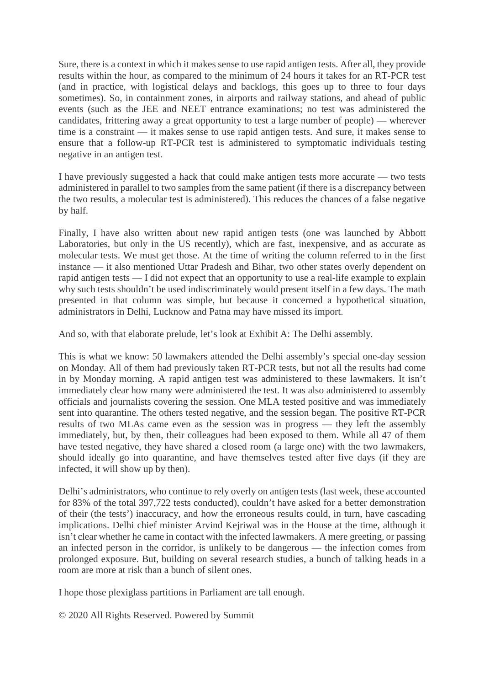Sure, there is a context in which it makes sense to use rapid antigen tests. After all, they provide results within the hour, as compared to the minimum of 24 hours it takes for an RT-PCR test (and in practice, with logistical delays and backlogs, this goes up to three to four days sometimes). So, in containment zones, in airports and railway stations, and ahead of public events (such as the JEE and NEET entrance examinations; no test was administered the candidates, frittering away a great opportunity to test a large number of people) — wherever time is a constraint — it makes sense to use rapid antigen tests. And sure, it makes sense to ensure that a follow-up RT-PCR test is administered to symptomatic individuals testing negative in an antigen test.

I have previously suggested a hack that could make antigen tests more accurate — two tests administered in parallel to two samples from the same patient (if there is a discrepancy between the two results, a molecular test is administered). This reduces the chances of a false negative by half.

Finally, I have also written about new rapid antigen tests (one was launched by Abbott Laboratories, but only in the US recently), which are fast, inexpensive, and as accurate as molecular tests. We must get those. At the time of writing the column referred to in the first instance — it also mentioned Uttar Pradesh and Bihar, two other states overly dependent on rapid antigen tests — I did not expect that an opportunity to use a real-life example to explain why such tests shouldn't be used indiscriminately would present itself in a few days. The math presented in that column was simple, but because it concerned a hypothetical situation, administrators in Delhi, Lucknow and Patna may have missed its import.

And so, with that elaborate prelude, let's look at Exhibit A: The Delhi assembly.

This is what we know: 50 lawmakers attended the Delhi assembly's special one-day session on Monday. All of them had previously taken RT-PCR tests, but not all the results had come in by Monday morning. A rapid antigen test was administered to these lawmakers. It isn't immediately clear how many were administered the test. It was also administered to assembly officials and journalists covering the session. One MLA tested positive and was immediately sent into quarantine. The others tested negative, and the session began. The positive RT-PCR results of two MLAs came even as the session was in progress — they left the assembly immediately, but, by then, their colleagues had been exposed to them. While all 47 of them have tested negative, they have shared a closed room (a large one) with the two lawmakers, should ideally go into quarantine, and have themselves tested after five days (if they are infected, it will show up by then).

Delhi's administrators, who continue to rely overly on antigen tests (last week, these accounted for 83% of the total 397,722 tests conducted), couldn't have asked for a better demonstration of their (the tests') inaccuracy, and how the erroneous results could, in turn, have cascading implications. Delhi chief minister Arvind Kejriwal was in the House at the time, although it isn't clear whether he came in contact with the infected lawmakers. A mere greeting, or passing an infected person in the corridor, is unlikely to be dangerous — the infection comes from prolonged exposure. But, building on several research studies, a bunch of talking heads in a room are more at risk than a bunch of silent ones.

I hope those plexiglass partitions in Parliament are tall enough.

© 2020 All Rights Reserved. Powered by Summit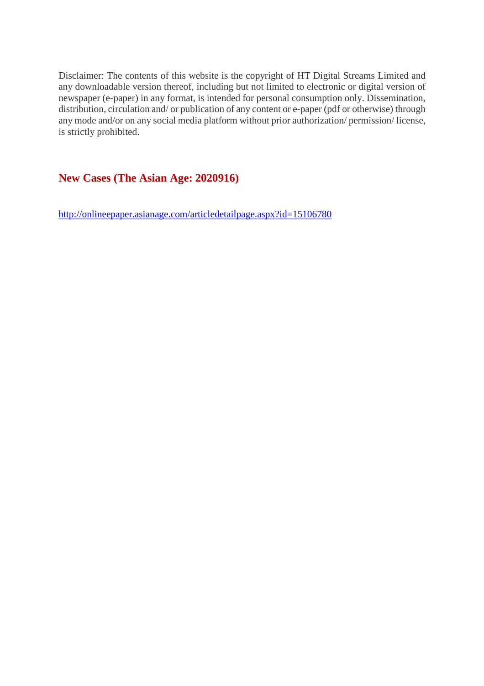Disclaimer: The contents of this website is the copyright of HT Digital Streams Limited and any downloadable version thereof, including but not limited to electronic or digital version of newspaper (e-paper) in any format, is intended for personal consumption only. Dissemination, distribution, circulation and/ or publication of any content or e-paper (pdf or otherwise) through any mode and/or on any social media platform without prior authorization/ permission/ license, is strictly prohibited.

### **New Cases (The Asian Age: 2020916)**

http://onlineepaper.asianage.com/articledetailpage.aspx?id=15106780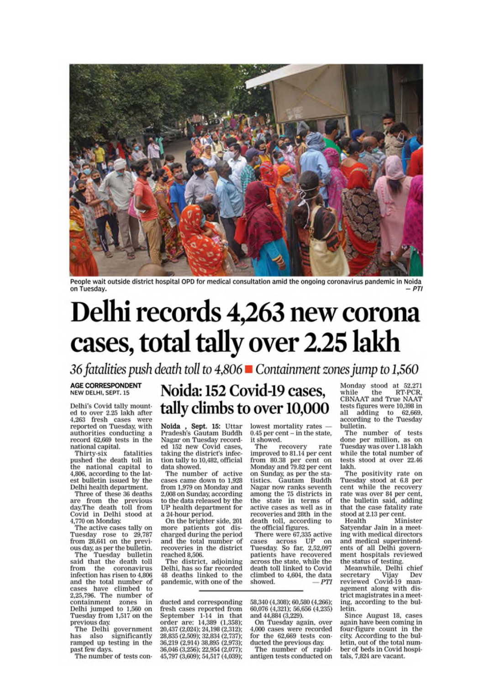

People wait outside district hospital OPD for medical consultation amid the ongoing coronavirus pandemic in Noida on Tuesday.

# Delhi records 4,263 new corona cases, total tally over 2.25 lakh

36 fatalities push death toll to 4,806 ■ Containment zones jump to 1,560

#### **AGE CORRESPONDENT** NEW DELHI, SEPT. 15

Delhi's Covid tally mounted to over 2.25 lakh after<br>4,263 fresh cases were<br>reported on Tuesday, with authorities conducting a record 62,669 tests in the national capital.

fatalities Thirty-six pushed the death toll in<br>the national capital to 4,806, according to the latest bulletin issued by the Delhi health department.

Three of these 36 deaths are from the previous<br>day.The death toll from Covid in Delhi stood at 4,770 on Monday.

The active cases tally on Tuesday rose to 29,787<br>from 28,641 on the previous day, as per the bulletin.

The Tuesday bulletin<br>said that the death toll from the coronavirus infection has risen to 4,806 and the total number of<br>cases have climbed to 2,25,796. The number of<br>containment zones in Delhi jumped to 1,560 on<br>Tuesday from 1,517 on the previous day.

The Delhi government has also significantly<br>ramped up testing in the past few days.

The number of tests con-

### Noida: 152 Covid-19 cases, tally climbs to over 10,000

Noida, Sept. 15: Uttar<br>Pradesh's Gautam Buddh Nagar on Tuesday recorded 152 new Covid cases. taking the district's infection tally to 10,482, official data showed.

The number of active cases came down to 1.928 from 1,979 on Monday and 2,008 on Sunday, according to the data released by the UP health department for a 24-hour period.

On the brighter side, 201 more patients got discharged during the period and the total number of recoveries in the district reached 8.506.

The district, adjoining Delhi, has so far recorded 48 deaths linked to the pandemic, with one of the

ducted and corresponding fresh cases reported from September 1-14 in that order are: 14,389 (1,358); 20,437 (2,024); 24,198 (2,312);<br>28,835 (2,509); 32,834 (2,737); 36,219 (2,914) 38,895 (2,973); 36,046 (3,256); 22,954 (2,077); 45,797 (3,609); 54,517 (4,039);

lowest mortality rates - $0.45$  per cent  $-$  in the state. it showed.

The recovery rate<br>improved to 81.14 per cent from 80.38 per cent on<br>Monday and 79.82 per cent on Sunday, as per the statistics. Gautam Buddh Nagar now ranks seventh among the 75 districts in the state in terms of active cases as well as in recoveries and 28th in the death toll, according to<br>the official figures.

There were 67,335 active cases across UP on Tuesday. So far, 2,52,097<br>patients have recovered across the state, while the death toll linked to Covid climbed to 4,604, the data showed.  $-PTI$ 

58,340 (4,308); 60,580 (4,266); 60.076 (4,321); 56,656 (4,235) and 44,884 (3,229).

On Tuesday again, over 4,000 cases were recorded for the 62,669 tests conducted the previous day.

The number of rapidantigen tests conducted on Monday stood at 52,271<br>while the RT-PCR, while the RT-PCR,<br>CBNAAT and True NAAT tests figures were 10,398 in all adding to 62,669,<br>according to the Tuesday bulletin.

The number of tests done per million, as on Tuesday was over 1.18 lakh while the total number of tests stood at over 22.46 lakh.

The positivity rate on Tuesday stood at 6.8 per<br>cent while the recovery rate was over 84 per cent, the bulletin said, adding that the case fatality rate stood at 2.13 per cent.

Health Minister Satyendar Jain in a meeting with medical directors and medical superintendents of all Delhi government hospitals reviewed the status of testing.

Meanwhile, Delhi chief<br>ecretary Vijay Dev secretary Vijay Dev<br>reviewed Covid-19 management along with district magistrates in a meeting, according to the bulletin.

Since August 18, cases again have been coming in four-figure count in the city. According to the bulletin, out of the total number of beds in Covid hospitals, 7,824 are vacant.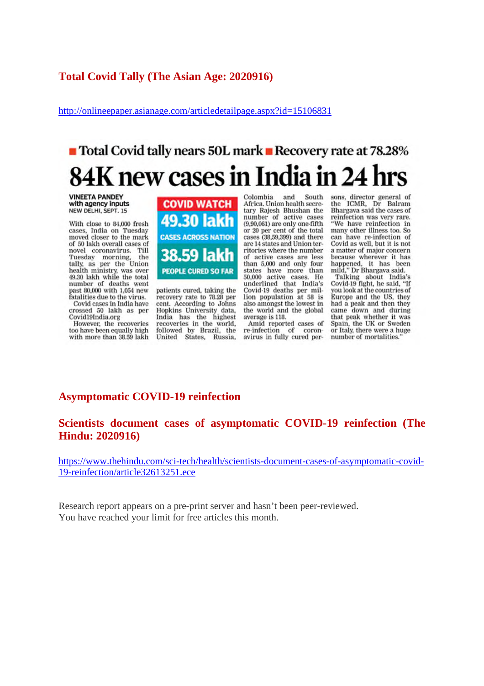### **Total Covid Tally (The Asian Age: 2020916)**

http://onlineepaper.asianage.com/articledetailpage.aspx?id=15106831

### ■ Total Covid tally nears 50L mark ■ Recovery rate at 78.28% 84K new cases in India in 24

**VINEETA PANDEY** with agency inputs NEW DELHI, SEPT. 15

With close to 84,000 fresh cases, India on Tuesday moved closer to the mark of 50 lakh overall cases of novel coronavirus. Till Tuesday morning, the<br>tally, as per the Union health ministry, was over<br>49.30 lakh while the total number of deaths went past 80,000 with 1,054 new fatalities due to the virus. Covid cases in India have

crossed 50 lakh as per Covid19India.org

However, the recoveries too have been equally high with more than 38.59 lakh



patients cured, taking the recovery rate to 78.28 per cent. According to Johns Hopkins University data. India has the highest recoveries in the world, followed by Brazil, the<br>United States, Russia, Colombia and South Africa. Union health secretary Rajesh Bhushan the<br>number of active cases  $(9,90,061)$  are only one-fifth or 20 per cent of the total cases (38,59,399) and there are 14 states and Union territories where the number of active cases are less<br>than 5,000 and only four states have more than<br>50,000 active cases. He underlined that India's Covid-19 deaths per million population at 58 is also amongst the lowest in the world and the global average is 118.

Amid reported cases of re-infection of coron-<br>avirus in fully cured persons, director general of<br>the ICMR, Dr Balram Bhargava said the cases of reinfection was very rare. "We have reinfection in many other illness too. So can have re-infection of Covid as well, but it is not a matter of major concern because wherever it has happened, it has been

mappered, it has been<br>mild," Dr Bhargava said.<br>Talking about India's Covid-19 fight, he said, "If you look at the countries of Europe and the US, they had a peak and then they came down and during that peak whether it was<br>Spain, the UK or Sweden or Italy, there were a huge number of mortalities.

### **Asymptomatic COVID-19 reinfection**

**Scientists document cases of asymptomatic COVID-19 reinfection (The Hindu: 2020916)**

https://www.thehindu.com/sci-tech/health/scientists-document-cases-of-asymptomatic-covid-19-reinfection/article32613251.ece

Research report appears on a pre-print server and hasn't been peer-reviewed. You have reached your limit for free articles this month.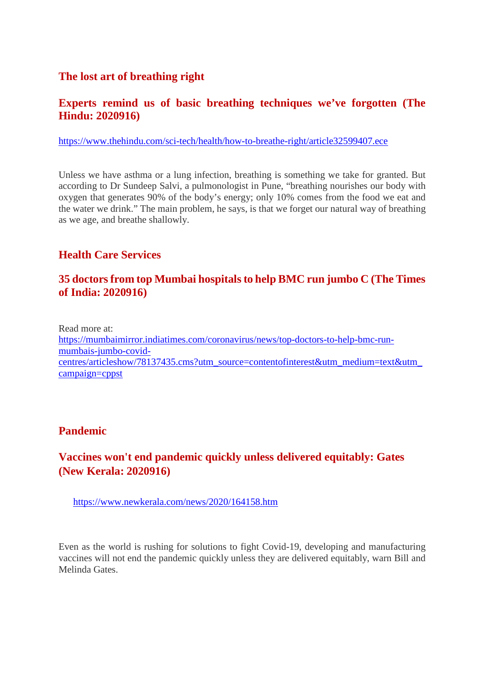### **The lost art of breathing right**

### **Experts remind us of basic breathing techniques we've forgotten (The Hindu: 2020916)**

https://www.thehindu.com/sci-tech/health/how-to-breathe-right/article32599407.ece

Unless we have asthma or a lung infection, breathing is something we take for granted. But according to Dr Sundeep Salvi, a pulmonologist in Pune, "breathing nourishes our body with oxygen that generates 90% of the body's energy; only 10% comes from the food we eat and the water we drink." The main problem, he says, is that we forget our natural way of breathing as we age, and breathe shallowly.

### **Health Care Services**

### **35 doctors from top Mumbai hospitals to help BMC run jumbo C (The Times of India: 2020916)**

Read more at: https://mumbaimirror.indiatimes.com/coronavirus/news/top-doctors-to-help-bmc-runmumbais-jumbo-covidcentres/articleshow/78137435.cms?utm\_source=contentofinterest&utm\_medium=text&utm\_ campaign=cppst

### **Pandemic**

### **Vaccines won't end pandemic quickly unless delivered equitably: Gates (New Kerala: 2020916)**

https://www.newkerala.com/news/2020/164158.htm

Even as the world is rushing for solutions to fight Covid-19, developing and manufacturing vaccines will not end the pandemic quickly unless they are delivered equitably, warn Bill and Melinda Gates.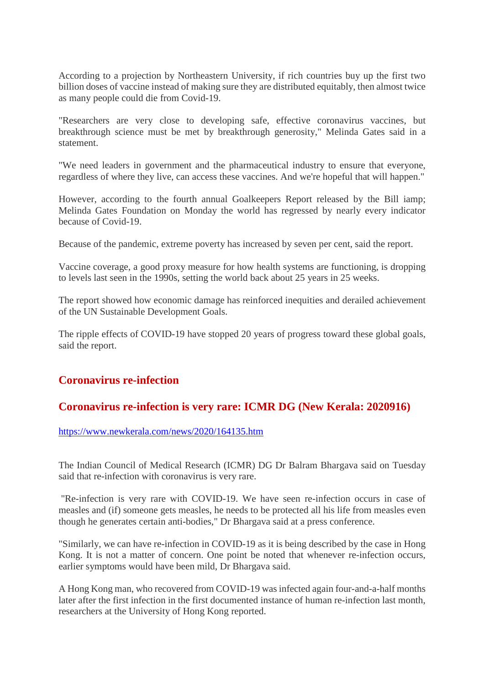According to a projection by Northeastern University, if rich countries buy up the first two billion doses of vaccine instead of making sure they are distributed equitably, then almost twice as many people could die from Covid-19.

"Researchers are very close to developing safe, effective coronavirus vaccines, but breakthrough science must be met by breakthrough generosity," Melinda Gates said in a statement.

"We need leaders in government and the pharmaceutical industry to ensure that everyone, regardless of where they live, can access these vaccines. And we're hopeful that will happen."

However, according to the fourth annual Goalkeepers Report released by the Bill iamp; Melinda Gates Foundation on Monday the world has regressed by nearly every indicator because of Covid-19.

Because of the pandemic, extreme poverty has increased by seven per cent, said the report.

Vaccine coverage, a good proxy measure for how health systems are functioning, is dropping to levels last seen in the 1990s, setting the world back about 25 years in 25 weeks.

The report showed how economic damage has reinforced inequities and derailed achievement of the UN Sustainable Development Goals.

The ripple effects of COVID-19 have stopped 20 years of progress toward these global goals, said the report.

### **Coronavirus re-infection**

### **Coronavirus re-infection is very rare: ICMR DG (New Kerala: 2020916)**

https://www.newkerala.com/news/2020/164135.htm

The Indian Council of Medical Research (ICMR) DG Dr Balram Bhargava said on Tuesday said that re-infection with coronavirus is very rare.

"Re-infection is very rare with COVID-19. We have seen re-infection occurs in case of measles and (if) someone gets measles, he needs to be protected all his life from measles even though he generates certain anti-bodies," Dr Bhargava said at a press conference.

"Similarly, we can have re-infection in COVID-19 as it is being described by the case in Hong Kong. It is not a matter of concern. One point be noted that whenever re-infection occurs, earlier symptoms would have been mild, Dr Bhargava said.

A Hong Kong man, who recovered from COVID-19 was infected again four-and-a-half months later after the first infection in the first documented instance of human re-infection last month, researchers at the University of Hong Kong reported.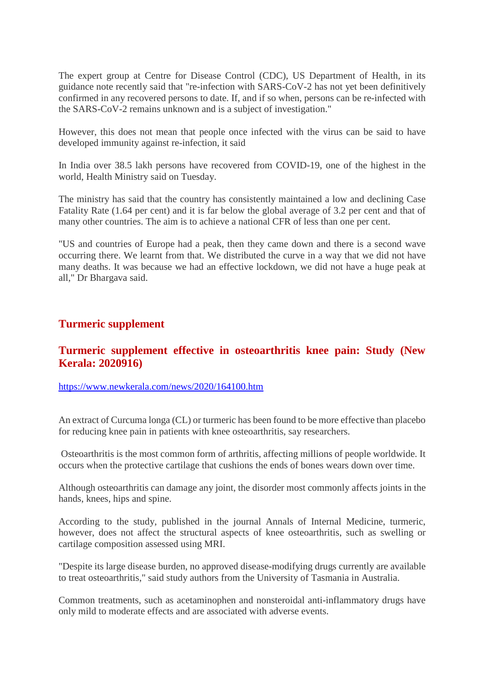The expert group at Centre for Disease Control (CDC), US Department of Health, in its guidance note recently said that "re-infection with SARS-CoV-2 has not yet been definitively confirmed in any recovered persons to date. If, and if so when, persons can be re-infected with the SARS-CoV-2 remains unknown and is a subject of investigation."

However, this does not mean that people once infected with the virus can be said to have developed immunity against re-infection, it said

In India over 38.5 lakh persons have recovered from COVID-19, one of the highest in the world, Health Ministry said on Tuesday.

The ministry has said that the country has consistently maintained a low and declining Case Fatality Rate (1.64 per cent) and it is far below the global average of 3.2 per cent and that of many other countries. The aim is to achieve a national CFR of less than one per cent.

"US and countries of Europe had a peak, then they came down and there is a second wave occurring there. We learnt from that. We distributed the curve in a way that we did not have many deaths. It was because we had an effective lockdown, we did not have a huge peak at all," Dr Bhargava said.

### **Turmeric supplement**

### **Turmeric supplement effective in osteoarthritis knee pain: Study (New Kerala: 2020916)**

https://www.newkerala.com/news/2020/164100.htm

An extract of Curcuma longa (CL) or turmeric has been found to be more effective than placebo for reducing knee pain in patients with knee osteoarthritis, say researchers.

Osteoarthritis is the most common form of arthritis, affecting millions of people worldwide. It occurs when the protective cartilage that cushions the ends of bones wears down over time.

Although osteoarthritis can damage any joint, the disorder most commonly affects joints in the hands, knees, hips and spine.

According to the study, published in the journal Annals of Internal Medicine, turmeric, however, does not affect the structural aspects of knee osteoarthritis, such as swelling or cartilage composition assessed using MRI.

"Despite its large disease burden, no approved disease-modifying drugs currently are available to treat osteoarthritis," said study authors from the University of Tasmania in Australia.

Common treatments, such as acetaminophen and nonsteroidal anti-inflammatory drugs have only mild to moderate effects and are associated with adverse events.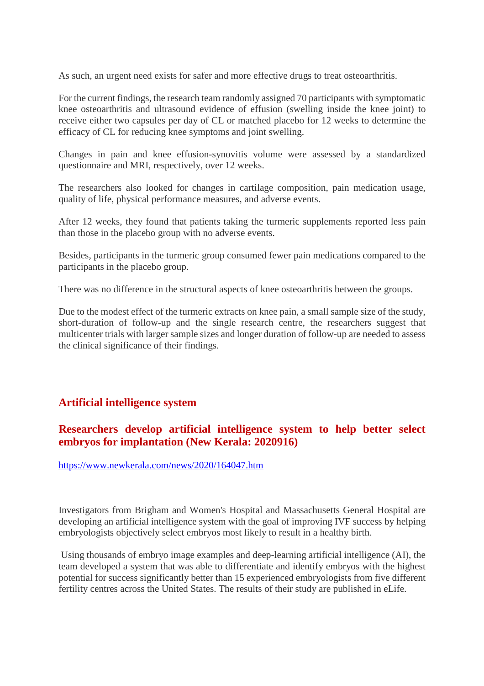As such, an urgent need exists for safer and more effective drugs to treat osteoarthritis.

For the current findings, the research team randomly assigned 70 participants with symptomatic knee osteoarthritis and ultrasound evidence of effusion (swelling inside the knee joint) to receive either two capsules per day of CL or matched placebo for 12 weeks to determine the efficacy of CL for reducing knee symptoms and joint swelling.

Changes in pain and knee effusion-synovitis volume were assessed by a standardized questionnaire and MRI, respectively, over 12 weeks.

The researchers also looked for changes in cartilage composition, pain medication usage, quality of life, physical performance measures, and adverse events.

After 12 weeks, they found that patients taking the turmeric supplements reported less pain than those in the placebo group with no adverse events.

Besides, participants in the turmeric group consumed fewer pain medications compared to the participants in the placebo group.

There was no difference in the structural aspects of knee osteoarthritis between the groups.

Due to the modest effect of the turmeric extracts on knee pain, a small sample size of the study, short-duration of follow-up and the single research centre, the researchers suggest that multicenter trials with larger sample sizes and longer duration of follow-up are needed to assess the clinical significance of their findings.

### **Artificial intelligence system**

### **Researchers develop artificial intelligence system to help better select embryos for implantation (New Kerala: 2020916)**

https://www.newkerala.com/news/2020/164047.htm

Investigators from Brigham and Women's Hospital and Massachusetts General Hospital are developing an artificial intelligence system with the goal of improving IVF success by helping embryologists objectively select embryos most likely to result in a healthy birth.

Using thousands of embryo image examples and deep-learning artificial intelligence (AI), the team developed a system that was able to differentiate and identify embryos with the highest potential for success significantly better than 15 experienced embryologists from five different fertility centres across the United States. The results of their study are published in eLife.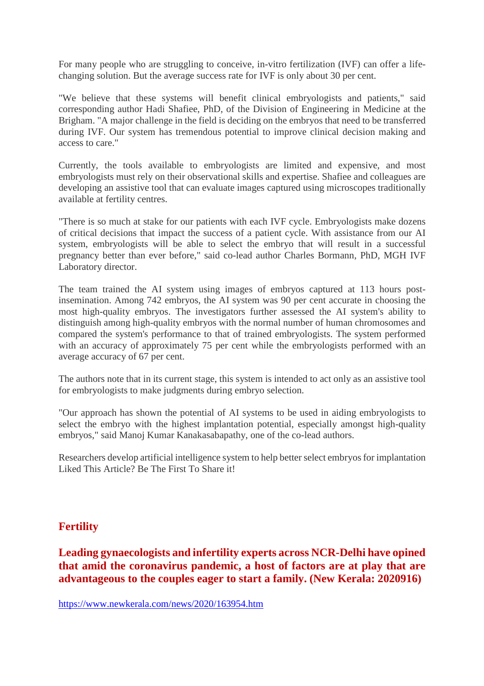For many people who are struggling to conceive, in-vitro fertilization (IVF) can offer a lifechanging solution. But the average success rate for IVF is only about 30 per cent.

"We believe that these systems will benefit clinical embryologists and patients," said corresponding author Hadi Shafiee, PhD, of the Division of Engineering in Medicine at the Brigham. "A major challenge in the field is deciding on the embryos that need to be transferred during IVF. Our system has tremendous potential to improve clinical decision making and access to care."

Currently, the tools available to embryologists are limited and expensive, and most embryologists must rely on their observational skills and expertise. Shafiee and colleagues are developing an assistive tool that can evaluate images captured using microscopes traditionally available at fertility centres.

"There is so much at stake for our patients with each IVF cycle. Embryologists make dozens of critical decisions that impact the success of a patient cycle. With assistance from our AI system, embryologists will be able to select the embryo that will result in a successful pregnancy better than ever before," said co-lead author Charles Bormann, PhD, MGH IVF Laboratory director.

The team trained the AI system using images of embryos captured at 113 hours postinsemination. Among 742 embryos, the AI system was 90 per cent accurate in choosing the most high-quality embryos. The investigators further assessed the AI system's ability to distinguish among high-quality embryos with the normal number of human chromosomes and compared the system's performance to that of trained embryologists. The system performed with an accuracy of approximately 75 per cent while the embryologists performed with an average accuracy of 67 per cent.

The authors note that in its current stage, this system is intended to act only as an assistive tool for embryologists to make judgments during embryo selection.

"Our approach has shown the potential of AI systems to be used in aiding embryologists to select the embryo with the highest implantation potential, especially amongst high-quality embryos," said Manoj Kumar Kanakasabapathy, one of the co-lead authors.

Researchers develop artificial intelligence system to help better select embryos for implantation Liked This Article? Be The First To Share it!

### **Fertility**

### **Leading gynaecologists and infertility experts across NCR-Delhi have opined that amid the coronavirus pandemic, a host of factors are at play that are advantageous to the couples eager to start a family. (New Kerala: 2020916)**

https://www.newkerala.com/news/2020/163954.htm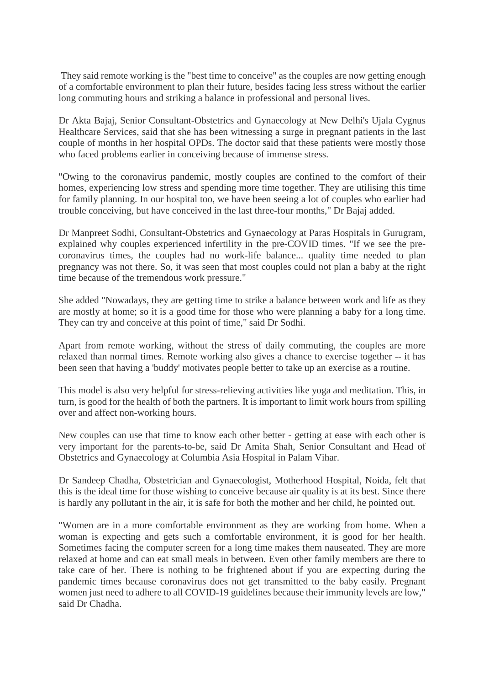They said remote working is the "best time to conceive" as the couples are now getting enough of a comfortable environment to plan their future, besides facing less stress without the earlier long commuting hours and striking a balance in professional and personal lives.

Dr Akta Bajaj, Senior Consultant-Obstetrics and Gynaecology at New Delhi's Ujala Cygnus Healthcare Services, said that she has been witnessing a surge in pregnant patients in the last couple of months in her hospital OPDs. The doctor said that these patients were mostly those who faced problems earlier in conceiving because of immense stress.

"Owing to the coronavirus pandemic, mostly couples are confined to the comfort of their homes, experiencing low stress and spending more time together. They are utilising this time for family planning. In our hospital too, we have been seeing a lot of couples who earlier had trouble conceiving, but have conceived in the last three-four months," Dr Bajaj added.

Dr Manpreet Sodhi, Consultant-Obstetrics and Gynaecology at Paras Hospitals in Gurugram, explained why couples experienced infertility in the pre-COVID times. "If we see the precoronavirus times, the couples had no work-life balance... quality time needed to plan pregnancy was not there. So, it was seen that most couples could not plan a baby at the right time because of the tremendous work pressure."

She added "Nowadays, they are getting time to strike a balance between work and life as they are mostly at home; so it is a good time for those who were planning a baby for a long time. They can try and conceive at this point of time," said Dr Sodhi.

Apart from remote working, without the stress of daily commuting, the couples are more relaxed than normal times. Remote working also gives a chance to exercise together -- it has been seen that having a 'buddy' motivates people better to take up an exercise as a routine.

This model is also very helpful for stress-relieving activities like yoga and meditation. This, in turn, is good for the health of both the partners. It is important to limit work hours from spilling over and affect non-working hours.

New couples can use that time to know each other better - getting at ease with each other is very important for the parents-to-be, said Dr Amita Shah, Senior Consultant and Head of Obstetrics and Gynaecology at Columbia Asia Hospital in Palam Vihar.

Dr Sandeep Chadha, Obstetrician and Gynaecologist, Motherhood Hospital, Noida, felt that this is the ideal time for those wishing to conceive because air quality is at its best. Since there is hardly any pollutant in the air, it is safe for both the mother and her child, he pointed out.

"Women are in a more comfortable environment as they are working from home. When a woman is expecting and gets such a comfortable environment, it is good for her health. Sometimes facing the computer screen for a long time makes them nauseated. They are more relaxed at home and can eat small meals in between. Even other family members are there to take care of her. There is nothing to be frightened about if you are expecting during the pandemic times because coronavirus does not get transmitted to the baby easily. Pregnant women just need to adhere to all COVID-19 guidelines because their immunity levels are low," said Dr Chadha.